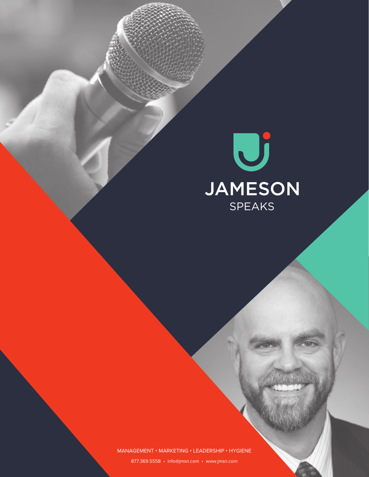

#### MANAGEMENT • MARKETING • LEADERSHIP • HYGIENE

877.369.5558 • info@jmsn.com • www.jmsn.com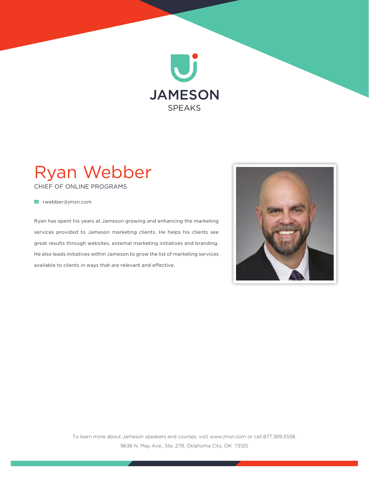

# Ryan Webber

CHIEF OF ONLINE PROGRAMS

rwebber@jmsn.com

Ryan has spent his years at Jameson growing and enhancing the marketing services provided to Jameson marketing clients. He helps his clients see great results through websites, external marketing initiatives and branding. He also leads initiatives within Jameson to grow the list of marketing services available to clients in ways that are relevant and effective.

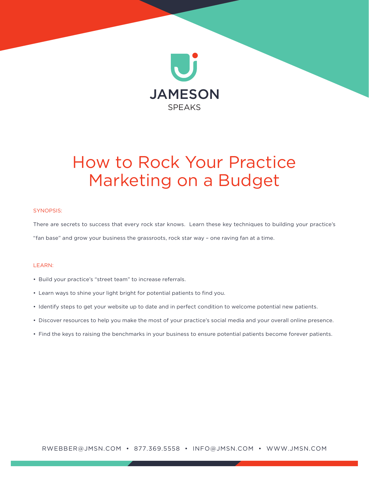

## How to Rock Your Practice Marketing on a Budget

#### SYNOPSIS:

There are secrets to success that every rock star knows. Learn these key techniques to building your practice's "fan base" and grow your business the grassroots, rock star way – one raving fan at a time.

#### LEARN:

- Build your practice's "street team" to increase referrals.
- Learn ways to shine your light bright for potential patients to find you.
- Identify steps to get your website up to date and in perfect condition to welcome potential new patients.
- Discover resources to help you make the most of your practice's social media and your overall online presence.
- Find the keys to raising the benchmarks in your business to ensure potential patients become forever patients.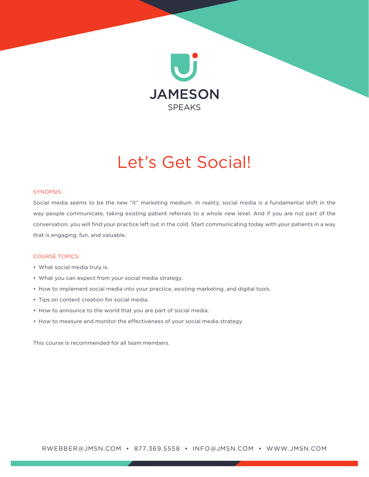

## Let's Get Social!

#### SYNOPSIS:

Social media seems to be the new "it" marketing medium. In reality, social media is a fundamental shift in the way people communicate, taking existing patient referrals to a whole new level. And if you are not part of the conversation, you will find your practice left out in the cold. Start communicating today with your patients in a way that is engaging, fun, and valuable.

#### COURSE TOPICS:

- What social media truly is.
- What you can expect from your social media strategy.
- How to implement social media into your practice, existing marketing, and digital tools.
- Tips on content creation for social media.
- How to announce to the world that you are part of social media.
- How to measure and monitor the effectiveness of your social media strategy.

This course is recommended for all team members.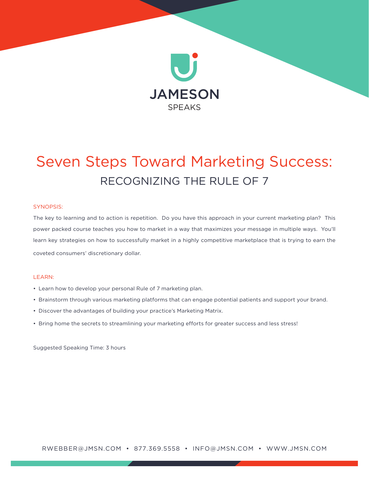

### Seven Steps Toward Marketing Success: RECOGNIZING THE RULE OF 7

#### SYNOPSIS:

The key to learning and to action is repetition. Do you have this approach in your current marketing plan? This power packed course teaches you how to market in a way that maximizes your message in multiple ways. You'll learn key strategies on how to successfully market in a highly competitive marketplace that is trying to earn the coveted consumers' discretionary dollar.

#### LEARN:

- Learn how to develop your personal Rule of 7 marketing plan.
- Brainstorm through various marketing platforms that can engage potential patients and support your brand.
- Discover the advantages of building your practice's Marketing Matrix.
- Bring home the secrets to streamlining your marketing efforts for greater success and less stress!

Suggested Speaking Time: 3 hours